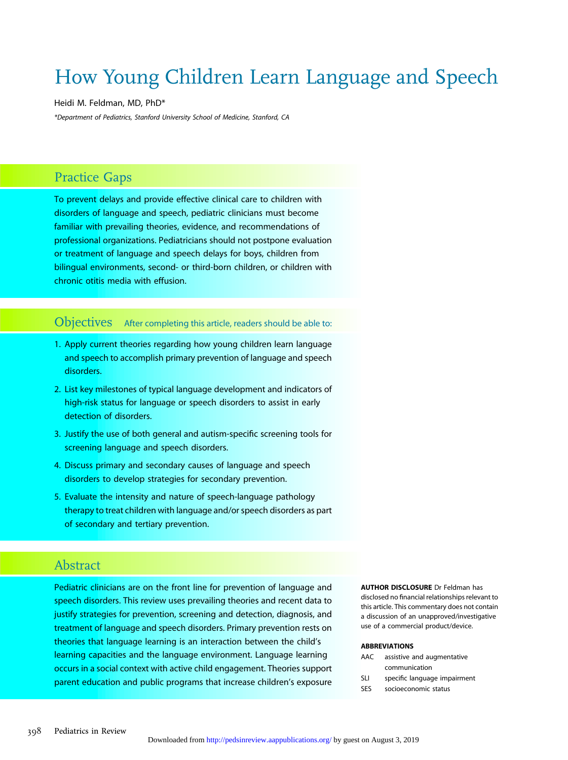# How Young Children Learn Language and Speech

Heidi M. Feldman, MD, PhD\*

\*Department of Pediatrics, Stanford University School of Medicine, Stanford, CA

# Practice Gaps

To prevent delays and provide effective clinical care to children with disorders of language and speech, pediatric clinicians must become familiar with prevailing theories, evidence, and recommendations of professional organizations. Pediatricians should not postpone evaluation or treatment of language and speech delays for boys, children from bilingual environments, second- or third-born children, or children with chronic otitis media with effusion.

# Objectives After completing this article, readers should be able to:

- 1. Apply current theories regarding how young children learn language and speech to accomplish primary prevention of language and speech disorders.
- 2. List key milestones of typical language development and indicators of high-risk status for language or speech disorders to assist in early detection of disorders.
- 3. Justify the use of both general and autism-specific screening tools for screening language and speech disorders.
- 4. Discuss primary and secondary causes of language and speech disorders to develop strategies for secondary prevention.
- 5. Evaluate the intensity and nature of speech-language pathology therapy to treat children with language and/or speech disorders as part of secondary and tertiary prevention.

# Abstract

Pediatric clinicians are on the front line for prevention of language and speech disorders. This review uses prevailing theories and recent data to justify strategies for prevention, screening and detection, diagnosis, and treatment of language and speech disorders. Primary prevention rests on theories that language learning is an interaction between the child's learning capacities and the language environment. Language learning occurs in a social context with active child engagement. Theories support parent education and public programs that increase children's exposure

**AUTHOR DISCLOSURE Dr Feldman has** disclosed no financial relationships relevant to this article. This commentary does not contain a discussion of an unapproved/investigative use of a commercial product/device.

#### ABBREVIATIONS

| AAC        | assistive and augmentative   |
|------------|------------------------------|
|            | communication                |
| <b>SLI</b> | specific language impairment |

SES socioeconomic status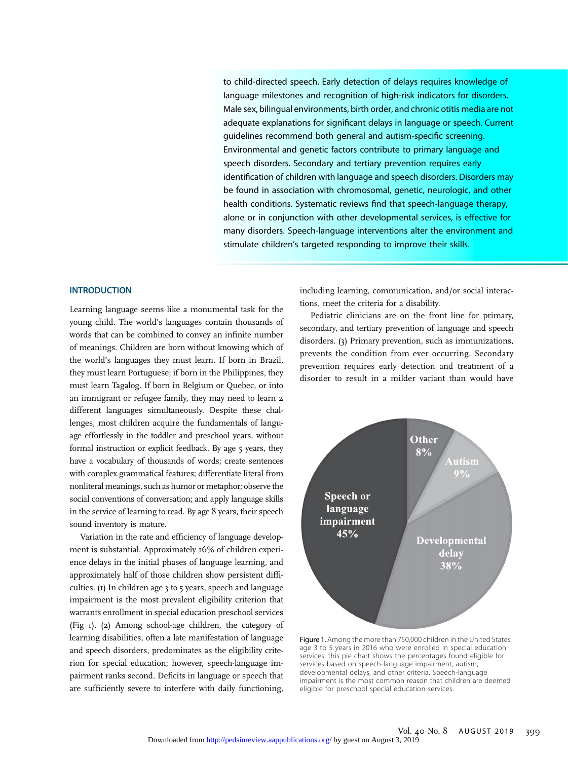to child-directed speech. Early detection of delays requires knowledge of language milestones and recognition of high-risk indicators for disorders. Male sex, bilingual environments, birth order, and chronic otitis media are not adequate explanations for significant delays in language or speech. Current guidelines recommend both general and autism-specific screening. Environmental and genetic factors contribute to primary language and speech disorders. Secondary and tertiary prevention requires early identification of children with language and speech disorders. Disorders may be found in association with chromosomal, genetic, neurologic, and other health conditions. Systematic reviews find that speech-language therapy, alone or in conjunction with other developmental services, is effective for many disorders. Speech-language interventions alter the environment and stimulate children's targeted responding to improve their skills.

### INTRODUCTION

Learning language seems like a monumental task for the young child. The world's languages contain thousands of words that can be combined to convey an infinite number of meanings. Children are born without knowing which of the world's languages they must learn. If born in Brazil, they must learn Portuguese; if born in the Philippines, they must learn Tagalog. If born in Belgium or Quebec, or into an immigrant or refugee family, they may need to learn 2 different languages simultaneously. Despite these challenges, most children acquire the fundamentals of language effortlessly in the toddler and preschool years, without formal instruction or explicit feedback. By age 5 years, they have a vocabulary of thousands of words; create sentences with complex grammatical features; differentiate literal from nonliteral meanings, such as humor or metaphor; observe the social conventions of conversation; and apply language skills in the service of learning to read. By age 8 years, their speech sound inventory is mature.

Variation in the rate and efficiency of language development is substantial. Approximately 16% of children experience delays in the initial phases of language learning, and approximately half of those children show persistent difficulties. (1) In children age 3 to 5 years, speech and language impairment is the most prevalent eligibility criterion that warrants enrollment in special education preschool services (Fig 1). (2) Among school-age children, the category of learning disabilities, often a late manifestation of language and speech disorders, predominates as the eligibility criterion for special education; however, speech-language impairment ranks second. Deficits in language or speech that are sufficiently severe to interfere with daily functioning,

including learning, communication, and/or social interactions, meet the criteria for a disability.

Pediatric clinicians are on the front line for primary, secondary, and tertiary prevention of language and speech disorders. (3) Primary prevention, such as immunizations, prevents the condition from ever occurring. Secondary prevention requires early detection and treatment of a disorder to result in a milder variant than would have



Figure 1. Among the more than 750,000 children in the United States age 3 to 5 years in 2016 who were enrolled in special education services, this pie chart shows the percentages found eligible for services based on speech-language impairment, autism, developmental delays, and other criteria. Speech-language impairment is the most common reason that children are deemed eligible for preschool special education services.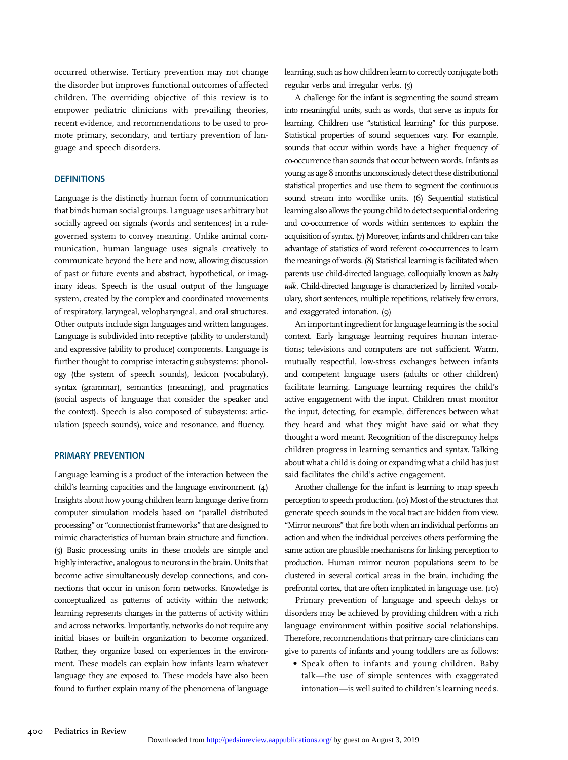occurred otherwise. Tertiary prevention may not change the disorder but improves functional outcomes of affected children. The overriding objective of this review is to empower pediatric clinicians with prevailing theories, recent evidence, and recommendations to be used to promote primary, secondary, and tertiary prevention of language and speech disorders.

### **DEFINITIONS**

Language is the distinctly human form of communication that binds human social groups. Language uses arbitrary but socially agreed on signals (words and sentences) in a rulegoverned system to convey meaning. Unlike animal communication, human language uses signals creatively to communicate beyond the here and now, allowing discussion of past or future events and abstract, hypothetical, or imaginary ideas. Speech is the usual output of the language system, created by the complex and coordinated movements of respiratory, laryngeal, velopharyngeal, and oral structures. Other outputs include sign languages and written languages. Language is subdivided into receptive (ability to understand) and expressive (ability to produce) components. Language is further thought to comprise interacting subsystems: phonology (the system of speech sounds), lexicon (vocabulary), syntax (grammar), semantics (meaning), and pragmatics (social aspects of language that consider the speaker and the context). Speech is also composed of subsystems: articulation (speech sounds), voice and resonance, and fluency.

### PRIMARY PREVENTION

Language learning is a product of the interaction between the child's learning capacities and the language environment. (4) Insights about how young children learn language derive from computer simulation models based on "parallel distributed processing" or "connectionist frameworks" that are designed to mimic characteristics of human brain structure and function. (5) Basic processing units in these models are simple and highly interactive, analogous to neurons in the brain. Units that become active simultaneously develop connections, and connections that occur in unison form networks. Knowledge is conceptualized as patterns of activity within the network; learning represents changes in the patterns of activity within and across networks. Importantly, networks do not require any initial biases or built-in organization to become organized. Rather, they organize based on experiences in the environment. These models can explain how infants learn whatever language they are exposed to. These models have also been found to further explain many of the phenomena of language learning, such as how children learn to correctly conjugate both regular verbs and irregular verbs. (5)

A challenge for the infant is segmenting the sound stream into meaningful units, such as words, that serve as inputs for learning. Children use "statistical learning" for this purpose. Statistical properties of sound sequences vary. For example, sounds that occur within words have a higher frequency of co-occurrence than sounds that occur between words. Infants as young as age 8 months unconsciously detect these distributional statistical properties and use them to segment the continuous sound stream into wordlike units. (6) Sequential statistical learning also allows the young child to detect sequential ordering and co-occurrence of words within sentences to explain the acquisition of syntax. (7) Moreover, infants and children can take advantage of statistics of word referent co-occurrences to learn the meanings of words. (8) Statistical learning is facilitated when parents use child-directed language, colloquially known as baby talk. Child-directed language is characterized by limited vocabulary, short sentences, multiple repetitions, relatively few errors, and exaggerated intonation. (9)

An important ingredient for language learning is the social context. Early language learning requires human interactions; televisions and computers are not sufficient. Warm, mutually respectful, low-stress exchanges between infants and competent language users (adults or other children) facilitate learning. Language learning requires the child's active engagement with the input. Children must monitor the input, detecting, for example, differences between what they heard and what they might have said or what they thought a word meant. Recognition of the discrepancy helps children progress in learning semantics and syntax. Talking about what a child is doing or expanding what a child has just said facilitates the child's active engagement.

Another challenge for the infant is learning to map speech perception to speech production. (10) Most of the structures that generate speech sounds in the vocal tract are hidden from view. "Mirror neurons" that fire both when an individual performs an action and when the individual perceives others performing the same action are plausible mechanisms for linking perception to production. Human mirror neuron populations seem to be clustered in several cortical areas in the brain, including the prefrontal cortex, that are often implicated in language use. (10)

Primary prevention of language and speech delays or disorders may be achieved by providing children with a rich language environment within positive social relationships. Therefore, recommendations that primary care clinicians can give to parents of infants and young toddlers are as follows:

• Speak often to infants and young children. Baby talk—the use of simple sentences with exaggerated intonation—is well suited to children's learning needs.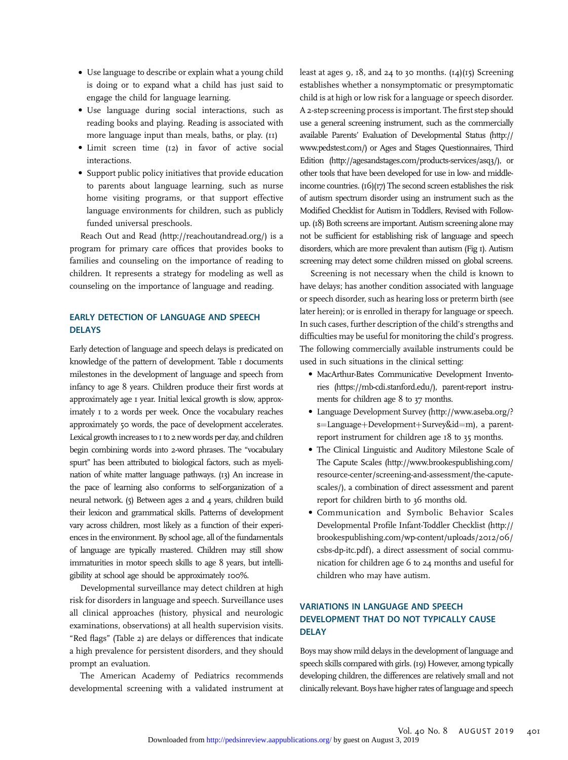- Use language to describe or explain what a young child is doing or to expand what a child has just said to engage the child for language learning.
- Use language during social interactions, such as reading books and playing. Reading is associated with more language input than meals, baths, or play. (11)
- Limit screen time (12) in favor of active social interactions.
- Support public policy initiatives that provide education to parents about language learning, such as nurse home visiting programs, or that support effective language environments for children, such as publicly funded universal preschools.

Reach Out and Read [\(http://reachoutandread.org/\)](http://reachoutandread.org/) is a program for primary care offices that provides books to families and counseling on the importance of reading to children. It represents a strategy for modeling as well as counseling on the importance of language and reading.

# EARLY DETECTION OF LANGUAGE AND SPEECH **DELAYS**

Early detection of language and speech delays is predicated on knowledge of the pattern of development. Table 1 documents milestones in the development of language and speech from infancy to age 8 years. Children produce their first words at approximately age 1 year. Initial lexical growth is slow, approximately 1 to 2 words per week. Once the vocabulary reaches approximately 50 words, the pace of development accelerates. Lexical growth increases to 1 to 2 new words per day, and children begin combining words into 2-word phrases. The "vocabulary spurt" has been attributed to biological factors, such as myelination of white matter language pathways. (13) An increase in the pace of learning also conforms to self-organization of a neural network. (5) Between ages 2 and 4 years, children build their lexicon and grammatical skills. Patterns of development vary across children, most likely as a function of their experiences in the environment. By school age, all of the fundamentals of language are typically mastered. Children may still show immaturities in motor speech skills to age 8 years, but intelligibility at school age should be approximately 100%.

Developmental surveillance may detect children at high risk for disorders in language and speech. Surveillance uses all clinical approaches (history, physical and neurologic examinations, observations) at all health supervision visits. "Red flags" (Table 2) are delays or differences that indicate a high prevalence for persistent disorders, and they should prompt an evaluation.

The American Academy of Pediatrics recommends developmental screening with a validated instrument at least at ages 9, 18, and 24 to 30 months.  $(14)(15)$  Screening establishes whether a nonsymptomatic or presymptomatic child is at high or low risk for a language or speech disorder. A 2-step screening process is important. The first step should use a general screening instrument, such as the commercially available Parents' Evaluation of Developmental Status ([http://](http://www.pedstest.com/) [www.pedstest.com/\)](http://www.pedstest.com/) or Ages and Stages Questionnaires, Third Edition [\(http://agesandstages.com/products-services/asq3/](http://agesandstages.com/products-services/asq3/)), or other tools that have been developed for use in low- and middleincome countries. (16)(17) The second screen establishes the risk of autism spectrum disorder using an instrument such as the Modified Checklist for Autism in Toddlers, Revised with Followup. (18) Both screens are important. Autism screening alone may not be sufficient for establishing risk of language and speech disorders, which are more prevalent than autism (Fig 1). Autism screening may detect some children missed on global screens.

Screening is not necessary when the child is known to have delays; has another condition associated with language or speech disorder, such as hearing loss or preterm birth (see later herein); or is enrolled in therapy for language or speech. In such cases, further description of the child's strengths and difficulties may be useful for monitoring the child's progress. The following commercially available instruments could be used in such situations in the clinical setting:

- MacArthur-Bates Communicative Development Inventories ([https://mb-cdi.stanford.edu/\)](https://mb-cdi.stanford.edu/), parent-report instruments for children age 8 to 37 months.
- Language Development Survey ([http://www.aseba.org/?](http://www.aseba.org/?s=Language+Development+Survey&id=m) [s](http://www.aseba.org/?s=Language+Development+Survey&id=m)=[Language](http://www.aseba.org/?s=Language+Development+Survey&id=m)+[Development](http://www.aseba.org/?s=Language+Development+Survey&id=m)+[Survey&id](http://www.aseba.org/?s=Language+Development+Survey&id=m)=[m](http://www.aseba.org/?s=Language+Development+Survey&id=m)), a parentreport instrument for children age 18 to 35 months.
- The Clinical Linguistic and Auditory Milestone Scale of The Capute Scales [\(http://www.brookespublishing.com/](http://www.brookespublishing.com/resource-center/screening-and-assessment/the-capute-scales/) [resource-center/screening-and-assessment/the-capute](http://www.brookespublishing.com/resource-center/screening-and-assessment/the-capute-scales/)[scales/\)](http://www.brookespublishing.com/resource-center/screening-and-assessment/the-capute-scales/), a combination of direct assessment and parent report for children birth to 36 months old.
- Communication and Symbolic Behavior Scales Developmental Profile Infant-Toddler Checklist [\(http://](http://brookespublishing.com/wp-content/uploads/2012/06/csbs-dp-itc.pdf) [brookespublishing.com/wp-content/uploads/2012/06/](http://brookespublishing.com/wp-content/uploads/2012/06/csbs-dp-itc.pdf) [csbs-dp-itc.pdf](http://brookespublishing.com/wp-content/uploads/2012/06/csbs-dp-itc.pdf)), a direct assessment of social communication for children age 6 to 24 months and useful for children who may have autism.

### VARIATIONS IN LANGUAGE AND SPEECH DEVELOPMENT THAT DO NOT TYPICALLY CAUSE **DELAY**

Boys may show mild delays in the development of language and speech skills compared with girls. (19) However, among typically developing children, the differences are relatively small and not clinically relevant. Boys have higher rates of language and speech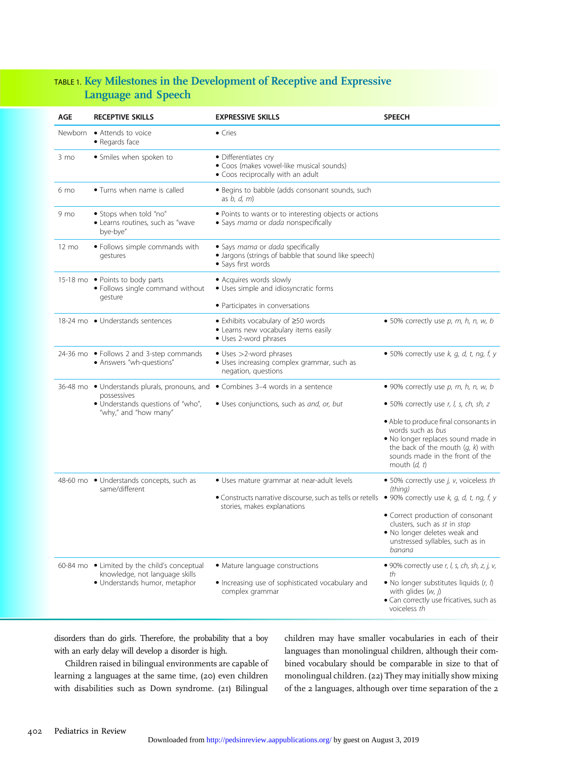# TABLE 1. Key Milestones in the Development of Receptive and Expressive Language and Speech

| <b>AGE</b>      | <b>RECEPTIVE SKILLS</b>                                                                                                                                       | <b>EXPRESSIVE SKILLS</b>                                                                                                           | <b>SPEECH</b>                                                                                                                                                                                |
|-----------------|---------------------------------------------------------------------------------------------------------------------------------------------------------------|------------------------------------------------------------------------------------------------------------------------------------|----------------------------------------------------------------------------------------------------------------------------------------------------------------------------------------------|
| Newborn         | • Attends to voice<br>• Regards face                                                                                                                          | $\bullet$ Cries                                                                                                                    |                                                                                                                                                                                              |
| 3 mo            | · Smiles when spoken to                                                                                                                                       | • Differentiates cry<br>· Coos (makes vowel-like musical sounds)<br>• Coos reciprocally with an adult                              |                                                                                                                                                                                              |
| 6 mo            | • Turns when name is called                                                                                                                                   | · Begins to babble (adds consonant sounds, such<br>as <i>b</i> , <i>d</i> , <i>m</i> )                                             |                                                                                                                                                                                              |
| 9 mo            | · Stops when told "no"<br>· Learns routines, such as "wave<br>bye-bye"                                                                                        | . Points to wants or to interesting objects or actions<br>· Says mama or dada nonspecifically                                      |                                                                                                                                                                                              |
| $12 \text{ mo}$ | • Follows simple commands with<br>gestures                                                                                                                    | · Says mama or dada specifically<br>· Jargons (strings of babble that sound like speech)<br>• Says first words                     |                                                                                                                                                                                              |
|                 | 15-18 mo • Points to body parts<br>· Follows single command without<br>gesture                                                                                | · Acquires words slowly<br>· Uses simple and idiosyncratic forms                                                                   |                                                                                                                                                                                              |
|                 |                                                                                                                                                               | • Participates in conversations                                                                                                    |                                                                                                                                                                                              |
|                 | 18-24 mo · Understands sentences                                                                                                                              | $\bullet$ Exhibits vocabulary of $\geq$ 50 words<br>· Learns new vocabulary items easily<br>· Uses 2-word phrases                  | • 50% correctly use $p$ , $m$ , $h$ , $n$ , $w$ , $b$                                                                                                                                        |
|                 | 24-36 mo ● Follows 2 and 3-step commands<br>• Answers "wh-questions"                                                                                          | $\bullet$ Uses $>2$ -word phrases<br>· Uses increasing complex grammar, such as<br>negation, questions                             | • 50% correctly use $k$ , $q$ , $d$ , $t$ , $nq$ , $f$ , $y$                                                                                                                                 |
|                 | 36-48 mo • Understands plurals, pronouns, and • Combines 3–4 words in a sentence<br>possessives<br>· Understands questions of "who",<br>"why," and "how many" |                                                                                                                                    | $\bullet$ 90% correctly use p, m, h, n, w, b                                                                                                                                                 |
|                 |                                                                                                                                                               | • Uses conjunctions, such as and, or, but                                                                                          | • 50% correctly use r, l, s, ch, sh, z                                                                                                                                                       |
|                 |                                                                                                                                                               |                                                                                                                                    | · Able to produce final consonants in<br>words such as bus<br>. No longer replaces sound made in<br>the back of the mouth $(q, k)$ with<br>sounds made in the front of the<br>mouth $(d, t)$ |
|                 | 48-60 mo · Understands concepts, such as<br>same/different                                                                                                    | · Uses mature grammar at near-adult levels                                                                                         | • 50% correctly use j, v, voiceless th<br>(thing)                                                                                                                                            |
|                 |                                                                                                                                                               | • Constructs narrative discourse, such as tells or retells • 90% correctly use k, g, d, t, ng, f, y<br>stories, makes explanations |                                                                                                                                                                                              |
|                 |                                                                                                                                                               |                                                                                                                                    | • Correct production of consonant<br>clusters, such as st in stop<br>. No longer deletes weak and<br>unstressed syllables, such as in<br>banana                                              |
|                 | 60-84 mo . Limited by the child's conceptual<br>knowledge, not language skills<br>· Understands humor, metaphor                                               | • Mature language constructions                                                                                                    | • 90% correctly use r, l, s, ch, sh, z, j, v,<br>th                                                                                                                                          |
|                 |                                                                                                                                                               | • Increasing use of sophisticated vocabulary and<br>complex grammar                                                                | • No longer substitutes liquids (r, l)<br>with glides $(w, j)$<br>• Can correctly use fricatives, such as<br>voiceless th                                                                    |

disorders than do girls. Therefore, the probability that a boy with an early delay will develop a disorder is high.

Children raised in bilingual environments are capable of learning 2 languages at the same time, (20) even children with disabilities such as Down syndrome. (21) Bilingual

children may have smaller vocabularies in each of their languages than monolingual children, although their combined vocabulary should be comparable in size to that of monolingual children. (22) They may initially show mixing of the 2 languages, although over time separation of the 2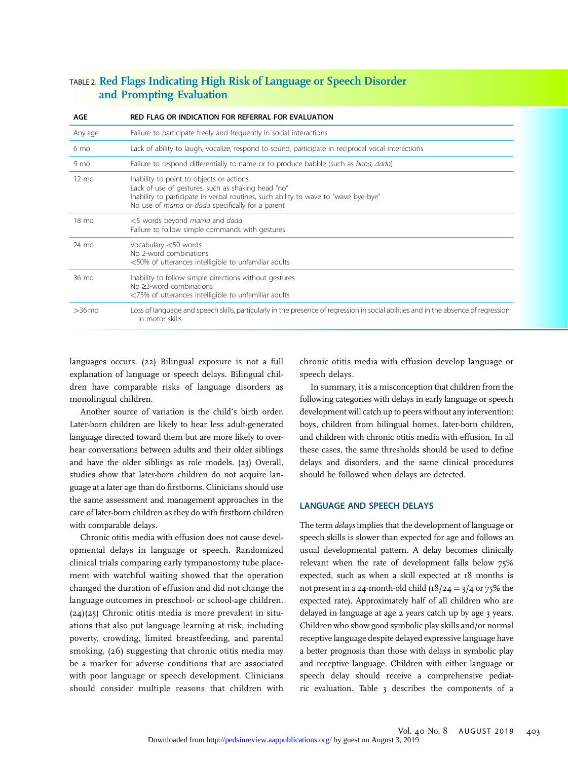# TABLE 2. Red Flags Indicating High Risk of Language or Speech Disorder and Prompting Evaluation

| AGE             | RED FLAG OR INDICATION FOR REFERRAL FOR EVALUATION                                                                                                                                                                                                      |
|-----------------|---------------------------------------------------------------------------------------------------------------------------------------------------------------------------------------------------------------------------------------------------------|
| Any age         | Failure to participate freely and frequently in social interactions                                                                                                                                                                                     |
| $6 \text{ mo}$  | Lack of ability to laugh, vocalize, respond to sound, participate in reciprocal vocal interactions                                                                                                                                                      |
| 9 mo            | Failure to respond differentially to name or to produce babble (such as baba, dada)                                                                                                                                                                     |
| $12 \text{ mo}$ | Inability to point to objects or actions<br>Lack of use of gestures, such as shaking head "no"<br>Inability to participate in verbal routines, such ability to wave to "wave bye-bye"<br>No use of <i>mama</i> or <i>dada</i> specifically for a parent |
| 18 mo           | <5 words beyond mama and dada<br>Failure to follow simple commands with gestures                                                                                                                                                                        |
| 24 mo           | Vocabulary <50 words<br>No 2-word combinations<br><50% of utterances intelligible to unfamiliar adults                                                                                                                                                  |
| $36 \text{ mo}$ | Inability to follow simple directions without gestures<br>$No$ $\geq$ 3-word combinations<br><75% of utterances intelligible to unfamiliar adults                                                                                                       |
| $>36$ mo        | Loss of language and speech skills, particularly in the presence of regression in social abilities and in the absence of regression<br>in motor skills                                                                                                  |

languages occurs. (22) Bilingual exposure is not a full explanation of language or speech delays. Bilingual children have comparable risks of language disorders as monolingual children.

Another source of variation is the child's birth order. Later-born children are likely to hear less adult-generated language directed toward them but are more likely to overhear conversations between adults and their older siblings and have the older siblings as role models. (23) Overall, studies show that later-born children do not acquire language at a later age than do firstborns. Clinicians should use the same assessment and management approaches in the care of later-born children as they do with firstborn children with comparable delays.

Chronic otitis media with effusion does not cause developmental delays in language or speech. Randomized clinical trials comparing early tympanostomy tube placement with watchful waiting showed that the operation changed the duration of effusion and did not change the language outcomes in preschool- or school-age children. (24)(25) Chronic otitis media is more prevalent in situations that also put language learning at risk, including poverty, crowding, limited breastfeeding, and parental smoking,  $(26)$  suggesting that chronic otitis media may be a marker for adverse conditions that are associated with poor language or speech development. Clinicians should consider multiple reasons that children with

chronic otitis media with effusion develop language or speech delays.

In summary, it is a misconception that children from the following categories with delays in early language or speech development will catch up to peers without any intervention: boys, children from bilingual homes, later-born children, and children with chronic otitis media with effusion. In all these cases, the same thresholds should be used to define delays and disorders, and the same clinical procedures should be followed when delays are detected.

### LANGUAGE AND SPEECH DELAYS

The term delays implies that the development of language or speech skills is slower than expected for age and follows an usual developmental pattern. A delay becomes clinically relevant when the rate of development falls below 75% expected, such as when a skill expected at 18 months is not present in a 24-month-old child  $(18/24 = 3/4)$  or 75% the expected rate). Approximately half of all children who are delayed in language at age 2 years catch up by age 3 years. Children who show good symbolic play skills and/or normal receptive language despite delayed expressive language have a better prognosis than those with delays in symbolic play and receptive language. Children with either language or speech delay should receive a comprehensive pediatric evaluation. Table 3 describes the components of a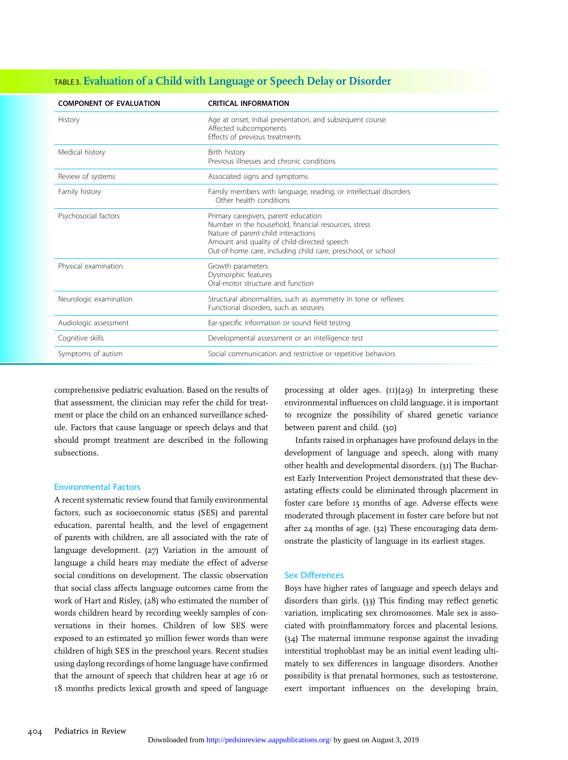| <b>COMPONENT OF EVALUATION</b> | <b>CRITICAL INFORMATION</b>                                                                                                                                                                                                                        |
|--------------------------------|----------------------------------------------------------------------------------------------------------------------------------------------------------------------------------------------------------------------------------------------------|
| History                        | Age at onset, initial presentation, and subsequent course<br>Affected subcomponents<br>Effects of previous treatments                                                                                                                              |
| Medical history                | Birth history<br>Previous illnesses and chronic conditions                                                                                                                                                                                         |
| Review of systems              | Associated signs and symptoms                                                                                                                                                                                                                      |
| Family history                 | Family members with language, reading, or intellectual disorders<br>Other health conditions                                                                                                                                                        |
| Psychosocial factors           | Primary caregivers, parent education<br>Number in the household, financial resources, stress<br>Nature of parent-child interactions<br>Amount and quality of child-directed speech<br>Out-of-home care, including child care, preschool, or school |
| Physical examination           | Growth parameters<br>Dysmorphic features<br>Oral-motor structure and function                                                                                                                                                                      |
| Neurologic examination         | Structural abnormalities, such as asymmetry in tone or reflexes<br>Functional disorders, such as seizures                                                                                                                                          |
| Audiologic assessment          | Ear-specific information or sound field testing                                                                                                                                                                                                    |
| Cognitive skills               | Developmental assessment or an intelligence test                                                                                                                                                                                                   |
| Symptoms of autism             | Social communication and restrictive or repetitive behaviors                                                                                                                                                                                       |

# TABLE 3. Evaluation of a Child with Language or Speech Delay or Disorder

comprehensive pediatric evaluation. Based on the results of that assessment, the clinician may refer the child for treatment or place the child on an enhanced surveillance schedule. Factors that cause language or speech delays and that should prompt treatment are described in the following subsections.

### Environmental Factors

A recent systematic review found that family environmental factors, such as socioeconomic status (SES) and parental education, parental health, and the level of engagement of parents with children, are all associated with the rate of language development. (27) Variation in the amount of language a child hears may mediate the effect of adverse social conditions on development. The classic observation that social class affects language outcomes came from the work of Hart and Risley, (28) who estimated the number of words children heard by recording weekly samples of conversations in their homes. Children of low SES were exposed to an estimated 30 million fewer words than were children of high SES in the preschool years. Recent studies using daylong recordings of home language have confirmed that the amount of speech that children hear at age 16 or 18 months predicts lexical growth and speed of language

processing at older ages. (11)(29) In interpreting these environmental influences on child language, it is important to recognize the possibility of shared genetic variance between parent and child. (30)

Infants raised in orphanages have profound delays in the development of language and speech, along with many other health and developmental disorders. (31) The Bucharest Early Intervention Project demonstrated that these devastating effects could be eliminated through placement in foster care before 15 months of age. Adverse effects were moderated through placement in foster care before but not after 24 months of age. (32) These encouraging data demonstrate the plasticity of language in its earliest stages.

### Sex Differences

Boys have higher rates of language and speech delays and disorders than girls. (33) This finding may reflect genetic variation, implicating sex chromosomes. Male sex is associated with proinflammatory forces and placental lesions. (34) The maternal immune response against the invading interstitial trophoblast may be an initial event leading ultimately to sex differences in language disorders. Another possibility is that prenatal hormones, such as testosterone, exert important influences on the developing brain,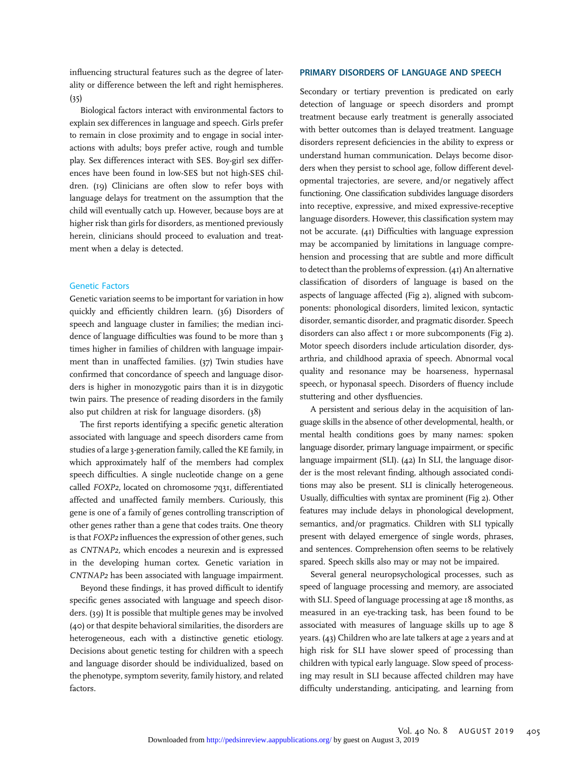influencing structural features such as the degree of laterality or difference between the left and right hemispheres. (35)

Biological factors interact with environmental factors to explain sex differences in language and speech. Girls prefer to remain in close proximity and to engage in social interactions with adults; boys prefer active, rough and tumble play. Sex differences interact with SES. Boy-girl sex differences have been found in low-SES but not high-SES children. (19) Clinicians are often slow to refer boys with language delays for treatment on the assumption that the child will eventually catch up. However, because boys are at higher risk than girls for disorders, as mentioned previously herein, clinicians should proceed to evaluation and treatment when a delay is detected.

#### Genetic Factors

Genetic variation seems to be important for variation in how quickly and efficiently children learn. (36) Disorders of speech and language cluster in families; the median incidence of language difficulties was found to be more than 3 times higher in families of children with language impairment than in unaffected families. (37) Twin studies have confirmed that concordance of speech and language disorders is higher in monozygotic pairs than it is in dizygotic twin pairs. The presence of reading disorders in the family also put children at risk for language disorders. (38)

The first reports identifying a specific genetic alteration associated with language and speech disorders came from studies of a large 3-generation family, called the KE family, in which approximately half of the members had complex speech difficulties. A single nucleotide change on a gene called FOXP2, located on chromosome 7q31, differentiated affected and unaffected family members. Curiously, this gene is one of a family of genes controlling transcription of other genes rather than a gene that codes traits. One theory is that FOXP2 influences the expression of other genes, such as CNTNAP2, which encodes a neurexin and is expressed in the developing human cortex. Genetic variation in CNTNAP2 has been associated with language impairment.

Beyond these findings, it has proved difficult to identify specific genes associated with language and speech disorders. (39) It is possible that multiple genes may be involved (40) or that despite behavioral similarities, the disorders are heterogeneous, each with a distinctive genetic etiology. Decisions about genetic testing for children with a speech and language disorder should be individualized, based on the phenotype, symptom severity, family history, and related factors.

### PRIMARY DISORDERS OF LANGUAGE AND SPEECH

Secondary or tertiary prevention is predicated on early detection of language or speech disorders and prompt treatment because early treatment is generally associated with better outcomes than is delayed treatment. Language disorders represent deficiencies in the ability to express or understand human communication. Delays become disorders when they persist to school age, follow different developmental trajectories, are severe, and/or negatively affect functioning. One classification subdivides language disorders into receptive, expressive, and mixed expressive-receptive language disorders. However, this classification system may not be accurate. (41) Difficulties with language expression may be accompanied by limitations in language comprehension and processing that are subtle and more difficult to detect than the problems of expression. (41) An alternative classification of disorders of language is based on the aspects of language affected (Fig 2), aligned with subcomponents: phonological disorders, limited lexicon, syntactic disorder, semantic disorder, and pragmatic disorder. Speech disorders can also affect 1 or more subcomponents (Fig 2). Motor speech disorders include articulation disorder, dysarthria, and childhood apraxia of speech. Abnormal vocal quality and resonance may be hoarseness, hypernasal speech, or hyponasal speech. Disorders of fluency include stuttering and other dysfluencies.

A persistent and serious delay in the acquisition of language skills in the absence of other developmental, health, or mental health conditions goes by many names: spoken language disorder, primary language impairment, or specific language impairment (SLI). (42) In SLI, the language disorder is the most relevant finding, although associated conditions may also be present. SLI is clinically heterogeneous. Usually, difficulties with syntax are prominent (Fig 2). Other features may include delays in phonological development, semantics, and/or pragmatics. Children with SLI typically present with delayed emergence of single words, phrases, and sentences. Comprehension often seems to be relatively spared. Speech skills also may or may not be impaired.

Several general neuropsychological processes, such as speed of language processing and memory, are associated with SLI. Speed of language processing at age 18 months, as measured in an eye-tracking task, has been found to be associated with measures of language skills up to age 8 years. (43) Children who are late talkers at age 2 years and at high risk for SLI have slower speed of processing than children with typical early language. Slow speed of processing may result in SLI because affected children may have difficulty understanding, anticipating, and learning from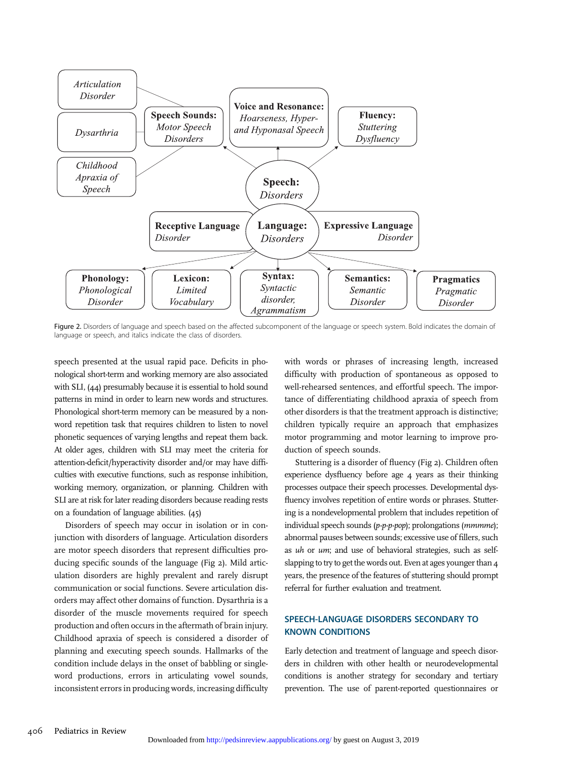

Figure 2. Disorders of language and speech based on the affected subcomponent of the language or speech system. Bold indicates the domain of language or speech, and italics indicate the class of disorders.

speech presented at the usual rapid pace. Deficits in phonological short-term and working memory are also associated with SLI, (44) presumably because it is essential to hold sound patterns in mind in order to learn new words and structures. Phonological short-term memory can be measured by a nonword repetition task that requires children to listen to novel phonetic sequences of varying lengths and repeat them back. At older ages, children with SLI may meet the criteria for attention-deficit/hyperactivity disorder and/or may have difficulties with executive functions, such as response inhibition, working memory, organization, or planning. Children with SLI are at risk for later reading disorders because reading rests on a foundation of language abilities. (45)

Disorders of speech may occur in isolation or in conjunction with disorders of language. Articulation disorders are motor speech disorders that represent difficulties producing specific sounds of the language (Fig 2). Mild articulation disorders are highly prevalent and rarely disrupt communication or social functions. Severe articulation disorders may affect other domains of function. Dysarthria is a disorder of the muscle movements required for speech production and often occurs in the aftermath of brain injury. Childhood apraxia of speech is considered a disorder of planning and executing speech sounds. Hallmarks of the condition include delays in the onset of babbling or singleword productions, errors in articulating vowel sounds, inconsistent errors in producing words, increasing difficulty

with words or phrases of increasing length, increased difficulty with production of spontaneous as opposed to well-rehearsed sentences, and effortful speech. The importance of differentiating childhood apraxia of speech from other disorders is that the treatment approach is distinctive; children typically require an approach that emphasizes motor programming and motor learning to improve production of speech sounds.

Stuttering is a disorder of fluency (Fig 2). Children often experience dysfluency before age 4 years as their thinking processes outpace their speech processes. Developmental dysfluency involves repetition of entire words or phrases. Stuttering is a nondevelopmental problem that includes repetition of individual speech sounds (p-p-p-pop); prolongations (mmmme); abnormal pauses between sounds; excessive use of fillers, such as uh or um; and use of behavioral strategies, such as selfslapping to try to get the words out. Even at ages younger than 4 years, the presence of the features of stuttering should prompt referral for further evaluation and treatment.

## SPEECH-LANGUAGE DISORDERS SECONDARY TO KNOWN CONDITIONS

Early detection and treatment of language and speech disorders in children with other health or neurodevelopmental conditions is another strategy for secondary and tertiary prevention. The use of parent-reported questionnaires or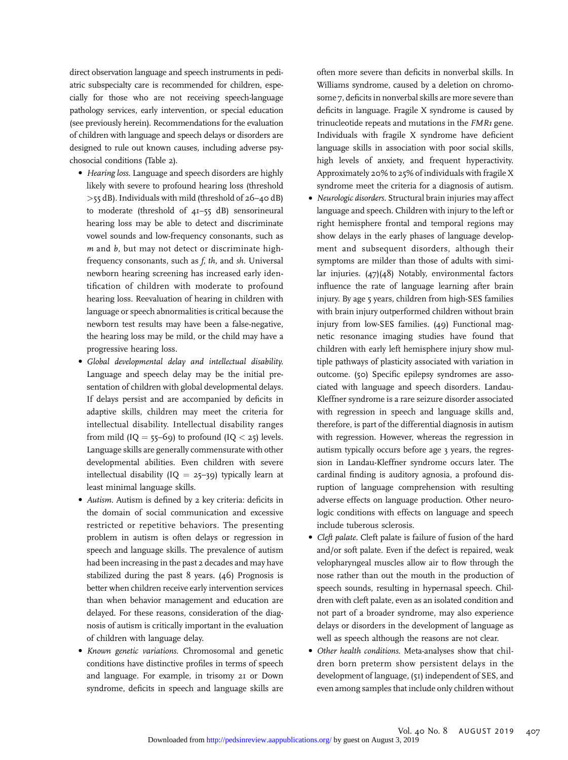direct observation language and speech instruments in pediatric subspecialty care is recommended for children, especially for those who are not receiving speech-language pathology services, early intervention, or special education (see previously herein). Recommendations for the evaluation of children with language and speech delays or disorders are designed to rule out known causes, including adverse psychosocial conditions (Table 2).

- Hearing loss. Language and speech disorders are highly likely with severe to profound hearing loss (threshold >55 dB). Individuals with mild (threshold of 26–40 dB) to moderate (threshold of 41–55 dB) sensorineural hearing loss may be able to detect and discriminate vowel sounds and low-frequency consonants, such as  $m$  and  $b$ , but may not detect or discriminate highfrequency consonants, such as f, th, and sh. Universal newborn hearing screening has increased early identification of children with moderate to profound hearing loss. Reevaluation of hearing in children with language or speech abnormalities is critical because the newborn test results may have been a false-negative, the hearing loss may be mild, or the child may have a progressive hearing loss.
- Global developmental delay and intellectual disability. Language and speech delay may be the initial presentation of children with global developmental delays. If delays persist and are accompanied by deficits in adaptive skills, children may meet the criteria for intellectual disability. Intellectual disability ranges from mild  $(IQ = 55-69)$  to profound  $(IQ < 25)$  levels. Language skills are generally commensurate with other developmental abilities. Even children with severe intellectual disability ( $IQ = 25-39$ ) typically learn at least minimal language skills.
- Autism. Autism is defined by 2 key criteria: deficits in the domain of social communication and excessive restricted or repetitive behaviors. The presenting problem in autism is often delays or regression in speech and language skills. The prevalence of autism had been increasing in the past 2 decades and may have stabilized during the past 8 years. (46) Prognosis is better when children receive early intervention services than when behavior management and education are delayed. For these reasons, consideration of the diagnosis of autism is critically important in the evaluation of children with language delay.
- Known genetic variations. Chromosomal and genetic conditions have distinctive profiles in terms of speech and language. For example, in trisomy 21 or Down syndrome, deficits in speech and language skills are

often more severe than deficits in nonverbal skills. In Williams syndrome, caused by a deletion on chromosome 7, deficits in nonverbal skills are more severe than deficits in language. Fragile X syndrome is caused by trinucleotide repeats and mutations in the FMR1 gene. Individuals with fragile X syndrome have deficient language skills in association with poor social skills, high levels of anxiety, and frequent hyperactivity. Approximately 20% to 25% of individuals with fragile X syndrome meet the criteria for a diagnosis of autism.

- Neurologic disorders. Structural brain injuries may affect language and speech. Children with injury to the left or right hemisphere frontal and temporal regions may show delays in the early phases of language development and subsequent disorders, although their symptoms are milder than those of adults with similar injuries. (47)(48) Notably, environmental factors influence the rate of language learning after brain injury. By age 5 years, children from high-SES families with brain injury outperformed children without brain injury from low-SES families. (49) Functional magnetic resonance imaging studies have found that children with early left hemisphere injury show multiple pathways of plasticity associated with variation in outcome. (50) Specific epilepsy syndromes are associated with language and speech disorders. Landau-Kleffner syndrome is a rare seizure disorder associated with regression in speech and language skills and, therefore, is part of the differential diagnosis in autism with regression. However, whereas the regression in autism typically occurs before age 3 years, the regression in Landau-Kleffner syndrome occurs later. The cardinal finding is auditory agnosia, a profound disruption of language comprehension with resulting adverse effects on language production. Other neurologic conditions with effects on language and speech include tuberous sclerosis.
- Cleft palate. Cleft palate is failure of fusion of the hard and/or soft palate. Even if the defect is repaired, weak velopharyngeal muscles allow air to flow through the nose rather than out the mouth in the production of speech sounds, resulting in hypernasal speech. Children with cleft palate, even as an isolated condition and not part of a broader syndrome, may also experience delays or disorders in the development of language as well as speech although the reasons are not clear.
- Other health conditions. Meta-analyses show that children born preterm show persistent delays in the development of language, (51) independent of SES, and even among samples that include only children without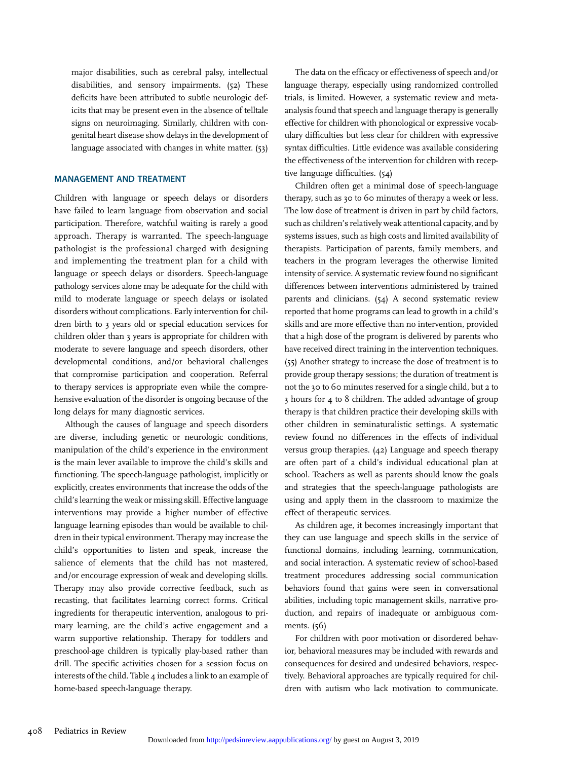major disabilities, such as cerebral palsy, intellectual disabilities, and sensory impairments. (52) These deficits have been attributed to subtle neurologic deficits that may be present even in the absence of telltale signs on neuroimaging. Similarly, children with congenital heart disease show delays in the development of language associated with changes in white matter. (53)

### MANAGEMENT AND TREATMENT

Children with language or speech delays or disorders have failed to learn language from observation and social participation. Therefore, watchful waiting is rarely a good approach. Therapy is warranted. The speech-language pathologist is the professional charged with designing and implementing the treatment plan for a child with language or speech delays or disorders. Speech-language pathology services alone may be adequate for the child with mild to moderate language or speech delays or isolated disorders without complications. Early intervention for children birth to 3 years old or special education services for children older than 3 years is appropriate for children with moderate to severe language and speech disorders, other developmental conditions, and/or behavioral challenges that compromise participation and cooperation. Referral to therapy services is appropriate even while the comprehensive evaluation of the disorder is ongoing because of the long delays for many diagnostic services.

Although the causes of language and speech disorders are diverse, including genetic or neurologic conditions, manipulation of the child's experience in the environment is the main lever available to improve the child's skills and functioning. The speech-language pathologist, implicitly or explicitly, creates environments that increase the odds of the child's learning the weak or missing skill. Effective language interventions may provide a higher number of effective language learning episodes than would be available to children in their typical environment. Therapy may increase the child's opportunities to listen and speak, increase the salience of elements that the child has not mastered, and/or encourage expression of weak and developing skills. Therapy may also provide corrective feedback, such as recasting, that facilitates learning correct forms. Critical ingredients for therapeutic intervention, analogous to primary learning, are the child's active engagement and a warm supportive relationship. Therapy for toddlers and preschool-age children is typically play-based rather than drill. The specific activities chosen for a session focus on interests of the child. Table 4 includes a link to an example of home-based speech-language therapy.

The data on the efficacy or effectiveness of speech and/or language therapy, especially using randomized controlled trials, is limited. However, a systematic review and metaanalysis found that speech and language therapy is generally effective for children with phonological or expressive vocabulary difficulties but less clear for children with expressive syntax difficulties. Little evidence was available considering the effectiveness of the intervention for children with receptive language difficulties. (54)

Children often get a minimal dose of speech-language therapy, such as 30 to 60 minutes of therapy a week or less. The low dose of treatment is driven in part by child factors, such as children's relatively weak attentional capacity, and by systems issues, such as high costs and limited availability of therapists. Participation of parents, family members, and teachers in the program leverages the otherwise limited intensity of service. A systematic review found no significant differences between interventions administered by trained parents and clinicians. (54) A second systematic review reported that home programs can lead to growth in a child's skills and are more effective than no intervention, provided that a high dose of the program is delivered by parents who have received direct training in the intervention techniques. (55) Another strategy to increase the dose of treatment is to provide group therapy sessions; the duration of treatment is not the 30 to 60 minutes reserved for a single child, but 2 to 3 hours for 4 to 8 children. The added advantage of group therapy is that children practice their developing skills with other children in seminaturalistic settings. A systematic review found no differences in the effects of individual versus group therapies. (42) Language and speech therapy are often part of a child's individual educational plan at school. Teachers as well as parents should know the goals and strategies that the speech-language pathologists are using and apply them in the classroom to maximize the effect of therapeutic services.

As children age, it becomes increasingly important that they can use language and speech skills in the service of functional domains, including learning, communication, and social interaction. A systematic review of school-based treatment procedures addressing social communication behaviors found that gains were seen in conversational abilities, including topic management skills, narrative production, and repairs of inadequate or ambiguous comments. (56)

For children with poor motivation or disordered behavior, behavioral measures may be included with rewards and consequences for desired and undesired behaviors, respectively. Behavioral approaches are typically required for children with autism who lack motivation to communicate.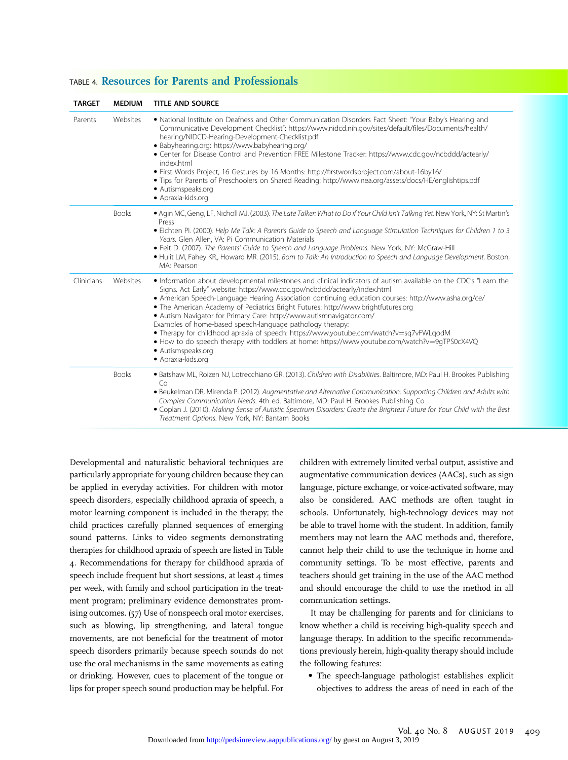| TABLE 4. Resources for Parents and Professionals |  |  |  |  |  |  |
|--------------------------------------------------|--|--|--|--|--|--|
|--------------------------------------------------|--|--|--|--|--|--|

| <b>TARGET</b> | <b>MEDIUM</b> | <b>TITLE AND SOURCE</b>                                                                                                                                                                                                                                                                                                                                                                                                                                                                                                                                                                                                                                                                                                                                                |
|---------------|---------------|------------------------------------------------------------------------------------------------------------------------------------------------------------------------------------------------------------------------------------------------------------------------------------------------------------------------------------------------------------------------------------------------------------------------------------------------------------------------------------------------------------------------------------------------------------------------------------------------------------------------------------------------------------------------------------------------------------------------------------------------------------------------|
| Parents       | Websites      | . National Institute on Deafness and Other Communication Disorders Fact Sheet: "Your Baby's Hearing and<br>Communicative Development Checklist": https://www.nidcd.nih.gov/sites/default/files/Documents/health/<br>hearing/NIDCD-Hearing-Development-Checklist.pdf<br>· Babyhearing.org: https://www.babyhearing.org/<br>• Center for Disease Control and Prevention FREE Milestone Tracker: https://www.cdc.gov/ncbddd/actearly/<br>index.html<br>· First Words Project, 16 Gestures by 16 Months: http://firstwordsproject.com/about-16by16/<br>. Tips for Parents of Preschoolers on Shared Reading: http://www.nea.org/assets/docs/HE/englishtips.pdf<br>· Autismspeaks.org<br>· Apraxia-kids.org                                                                 |
|               | <b>Books</b>  | . Agin MC, Geng, LF, Nicholl MJ. (2003). The Late Talker: What to Do if Your Child Isn't Talking Yet. New York, NY: St Martin's<br>Press<br>• Eichten Pl. (2000). Help Me Talk: A Parent's Guide to Speech and Language Stimulation Techniques for Children 1 to 3<br>Years. Glen Allen, VA: Pi Communication Materials<br>. Feit D. (2007). The Parents' Guide to Speech and Language Problems. New York, NY: McGraw-Hill<br>• Hulit LM, Fahey KR., Howard MR. (2015). Born to Talk: An Introduction to Speech and Language Development. Boston,<br>MA: Pearson                                                                                                                                                                                                       |
| Clinicians    | Websites      | • Information about developmental milestones and clinical indicators of autism available on the CDC's "Learn the<br>Signs. Act Early" website: https://www.cdc.gov/ncbddd/actearly/index.html<br>• American Speech-Language Hearing Association continuing education courses: http://www.asha.org/ce/<br>. The American Academy of Pediatrics Bright Futures: http://www.brightfutures.org<br>• Autism Navigator for Primary Care: http://www.autismnavigator.com/<br>Examples of home-based speech-language pathology therapy:<br>• Therapy for childhood apraxia of speech: https://www.youtube.com/watch?v=sq7vFWLqodM<br>• How to do speech therapy with toddlers at home: https://www.youtube.com/watch?v=9qTPS0cX4VQ<br>· Autismspeaks.org<br>· Apraxia-kids.org |
|               | <b>Books</b>  | . Batshaw ML, Roizen NJ, Lotrecchiano GR. (2013). Children with Disabilities. Baltimore, MD: Paul H. Brookes Publishing<br>Co<br>• Beukelman DR, Mirenda P. (2012). Augmentative and Alternative Communication: Supporting Children and Adults with<br>Complex Communication Needs. 4th ed. Baltimore, MD: Paul H. Brookes Publishing Co<br>• Coplan J. (2010). Making Sense of Autistic Spectrum Disorders: Create the Brightest Future for Your Child with the Best<br>Treatment Options. New York, NY: Bantam Books                                                                                                                                                                                                                                                 |

Developmental and naturalistic behavioral techniques are particularly appropriate for young children because they can be applied in everyday activities. For children with motor speech disorders, especially childhood apraxia of speech, a motor learning component is included in the therapy; the child practices carefully planned sequences of emerging sound patterns. Links to video segments demonstrating therapies for childhood apraxia of speech are listed in Table 4. Recommendations for therapy for childhood apraxia of speech include frequent but short sessions, at least 4 times per week, with family and school participation in the treatment program; preliminary evidence demonstrates promising outcomes. (57) Use of nonspeech oral motor exercises, such as blowing, lip strengthening, and lateral tongue movements, are not beneficial for the treatment of motor speech disorders primarily because speech sounds do not use the oral mechanisms in the same movements as eating or drinking. However, cues to placement of the tongue or lips for proper speech sound production may be helpful. For

children with extremely limited verbal output, assistive and augmentative communication devices (AACs), such as sign language, picture exchange, or voice-activated software, may also be considered. AAC methods are often taught in schools. Unfortunately, high-technology devices may not be able to travel home with the student. In addition, family members may not learn the AAC methods and, therefore, cannot help their child to use the technique in home and community settings. To be most effective, parents and teachers should get training in the use of the AAC method and should encourage the child to use the method in all communication settings.

It may be challenging for parents and for clinicians to know whether a child is receiving high-quality speech and language therapy. In addition to the specific recommendations previously herein, high-quality therapy should include the following features:

• The speech-language pathologist establishes explicit objectives to address the areas of need in each of the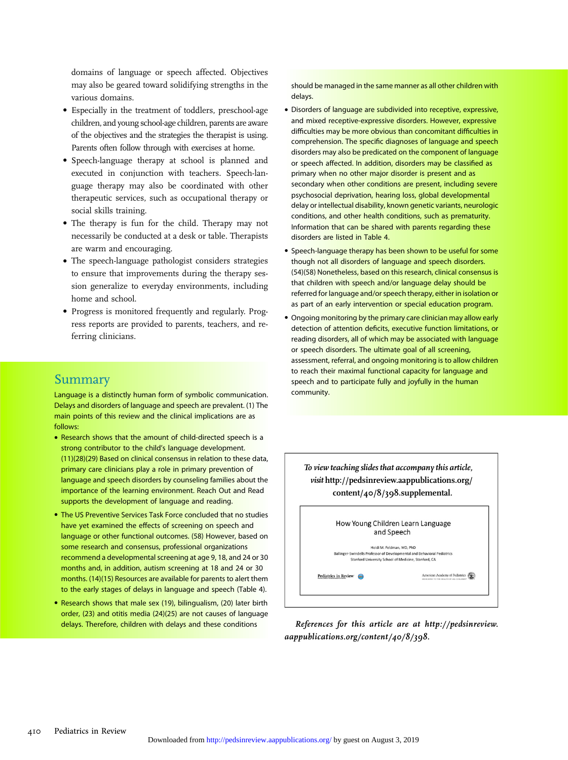domains of language or speech affected. Objectives may also be geared toward solidifying strengths in the various domains.

- Especially in the treatment of toddlers, preschool-age children, and young school-age children, parents are aware of the objectives and the strategies the therapist is using. Parents often follow through with exercises at home.
- Speech-language therapy at school is planned and executed in conjunction with teachers. Speech-language therapy may also be coordinated with other therapeutic services, such as occupational therapy or social skills training.
- The therapy is fun for the child. Therapy may not necessarily be conducted at a desk or table. Therapists are warm and encouraging.
- The speech-language pathologist considers strategies to ensure that improvements during the therapy session generalize to everyday environments, including home and school.
- Progress is monitored frequently and regularly. Progress reports are provided to parents, teachers, and referring clinicians.

# Summary

Language is a distinctly human form of symbolic communication. Delays and disorders of language and speech are prevalent. (1) The main points of this review and the clinical implications are as follows:

- Research shows that the amount of child-directed speech is a strong contributor to the child's language development. (11)(28)(29) Based on clinical consensus in relation to these data, primary care clinicians play a role in primary prevention of language and speech disorders by counseling families about the importance of the learning environment. Reach Out and Read supports the development of language and reading.
- The US Preventive Services Task Force concluded that no studies have yet examined the effects of screening on speech and language or other functional outcomes. (58) However, based on some research and consensus, professional organizations recommend a developmental screening at age 9, 18, and 24 or 30 months and, in addition, autism screening at 18 and 24 or 30 months. (14)(15) Resources are available for parents to alert them to the early stages of delays in language and speech (Table 4).
- Research shows that male sex (19), bilingualism, (20) later birth order, (23) and otitis media (24)(25) are not causes of language delays. Therefore, children with delays and these conditions

should be managed in the same manner as all other children with delays.

- Disorders of language are subdivided into receptive, expressive, and mixed receptive-expressive disorders. However, expressive difficulties may be more obvious than concomitant difficulties in comprehension. The specific diagnoses of language and speech disorders may also be predicated on the component of language or speech affected. In addition, disorders may be classified as primary when no other major disorder is present and as secondary when other conditions are present, including severe psychosocial deprivation, hearing loss, global developmental delay or intellectual disability, known genetic variants, neurologic conditions, and other health conditions, such as prematurity. Information that can be shared with parents regarding these disorders are listed in Table 4.
- Speech-language therapy has been shown to be useful for some though not all disorders of language and speech disorders. (54)(58) Nonetheless, based on this research, clinical consensus is that children with speech and/or language delay should be referred for language and/or speech therapy, either in isolation or as part of an early intervention or special education program.
- Ongoing monitoring by the primary care clinician may allow early detection of attention deficits, executive function limitations, or reading disorders, all of which may be associated with language or speech disorders. The ultimate goal of all screening, assessment, referral, and ongoing monitoring is to allow children to reach their maximal functional capacity for language and speech and to participate fully and joyfully in the human community.



References for this article are at [http://pedsinreview.](http://pedsinreview.aappublications.org/content/40/8/398) [aappublications.org/content/40/8/398](http://pedsinreview.aappublications.org/content/40/8/398).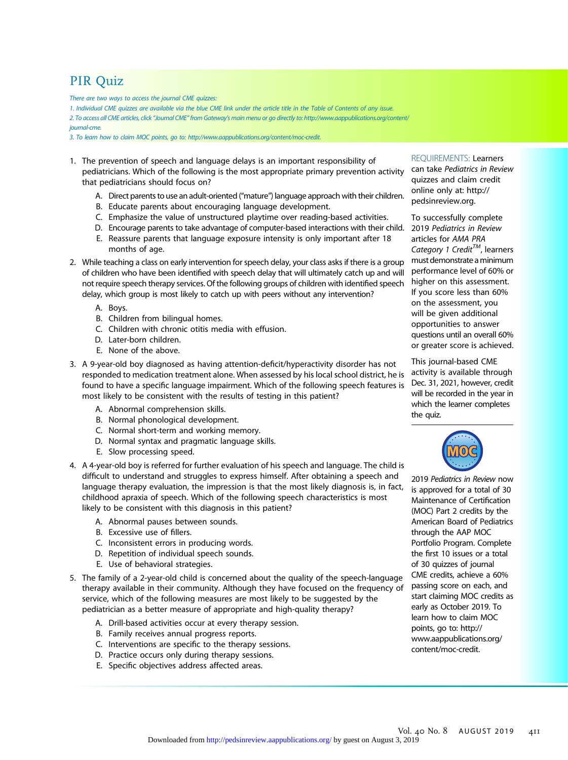# PIR Quiz

There are two ways to access the journal CME quizzes:

1. Individual CME quizzes are available via the blue CME link under the article title in the Table of Contents of any issue.

2. To access all CME articles, click "Journal CME" from Gateway's main menu or go directly to: [http://www.aappublications.org/content/](http://www.aappublications.org/content/journal-cme)

[journal-cme](http://www.aappublications.org/content/journal-cme).

3. To learn how to claim MOC points, go to:<http://www.aappublications.org/content/moc-credit>.

- 1. The prevention of speech and language delays is an important responsibility of pediatricians. Which of the following is the most appropriate primary prevention activity that pediatricians should focus on?
	- A. Direct parents to use an adult-oriented ("mature") language approach with their children.
	- B. Educate parents about encouraging language development.
	- C. Emphasize the value of unstructured playtime over reading-based activities.
	- D. Encourage parents to take advantage of computer-based interactions with their child.
	- E. Reassure parents that language exposure intensity is only important after 18 months of age.
- 2. While teaching a class on early intervention for speech delay, your class asks if there is a group of children who have been identified with speech delay that will ultimately catch up and will not require speech therapy services. Of the following groups of children with identified speech delay, which group is most likely to catch up with peers without any intervention?
	- A. Boys.
	- B. Children from bilingual homes.
	- C. Children with chronic otitis media with effusion.
	- D. Later-born children.
	- E. None of the above.
- 3. A 9-year-old boy diagnosed as having attention-deficit/hyperactivity disorder has not responded to medication treatment alone. When assessed by his local school district, he is found to have a specific language impairment. Which of the following speech features is most likely to be consistent with the results of testing in this patient?
	- A. Abnormal comprehension skills.
	- B. Normal phonological development.
	- C. Normal short-term and working memory.
	- D. Normal syntax and pragmatic language skills.
	- E. Slow processing speed.
- 4. A 4-year-old boy is referred for further evaluation of his speech and language. The child is difficult to understand and struggles to express himself. After obtaining a speech and language therapy evaluation, the impression is that the most likely diagnosis is, in fact, childhood apraxia of speech. Which of the following speech characteristics is most likely to be consistent with this diagnosis in this patient?
	- A. Abnormal pauses between sounds.
	- B. Excessive use of fillers.
	- C. Inconsistent errors in producing words.
	- D. Repetition of individual speech sounds.
	- E. Use of behavioral strategies.
- 5. The family of a 2-year-old child is concerned about the quality of the speech-language therapy available in their community. Although they have focused on the frequency of service, which of the following measures are most likely to be suggested by the pediatrician as a better measure of appropriate and high-quality therapy?
	- A. Drill-based activities occur at every therapy session.
	- B. Family receives annual progress reports.
	- C. Interventions are specific to the therapy sessions.
	- D. Practice occurs only during therapy sessions.
	- E. Specific objectives address affected areas.

### REQUIREMENTS: Learners

can take Pediatrics in Review quizzes and claim credit online only at: [http://](http://pedsinreview.org) [pedsinreview.org](http://pedsinreview.org).

To successfully complete 2019 Pediatrics in Review articles for AMA PRA Category 1 Credit<sup>TM</sup>, learners must demonstrate aminimum performance level of 60% or higher on this assessment. If you score less than 60% on the assessment, you will be given additional opportunities to answer questions until an overall 60% or greater score is achieved.

This journal-based CME activity is available through Dec. 31, 2021, however, credit will be recorded in the year in which the learner completes the quiz.



2019 Pediatrics in Review now is approved for a total of 30 Maintenance of Certification (MOC) Part 2 credits by the American Board of Pediatrics through the AAP MOC Portfolio Program. Complete the first 10 issues or a total of 30 quizzes of journal CME credits, achieve a 60% passing score on each, and start claiming MOC credits as early as October 2019. To learn how to claim MOC points, go to: [http://](http://www.aappublications.org/content/moc-credit) [www.aappublications.org/](http://www.aappublications.org/content/moc-credit) [content/moc-credit.](http://www.aappublications.org/content/moc-credit)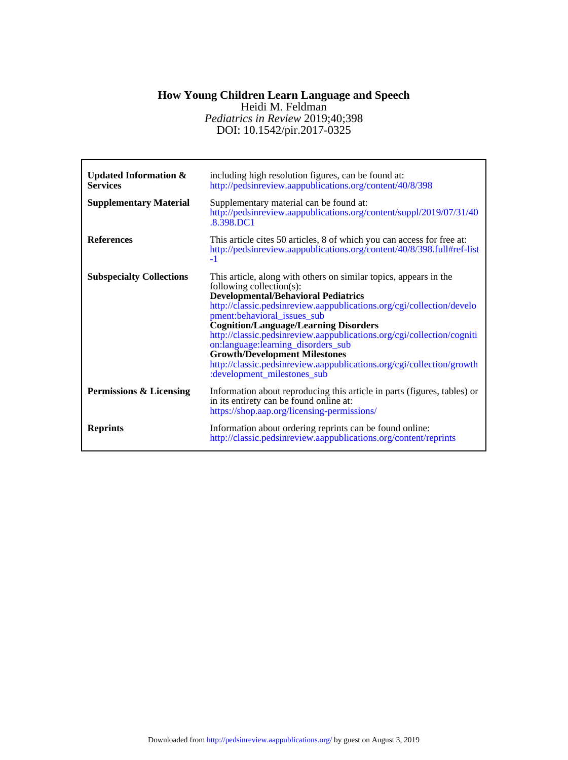# DOI: 10.1542/pir.2017-0325 *Pediatrics in Review* 2019;40;398 Heidi M. Feldman **How Young Children Learn Language and Speech**

| <b>Updated Information &amp;</b><br><b>Services</b><br><b>Supplementary Material</b> | including high resolution figures, can be found at:<br>http://pedsinreview.aappublications.org/content/40/8/398<br>Supplementary material can be found at:<br>http://pedsinreview.aappublications.org/content/suppl/2019/07/31/40<br>8.398.DC1                                                                                                                                                                                                                                                                                                                      |
|--------------------------------------------------------------------------------------|---------------------------------------------------------------------------------------------------------------------------------------------------------------------------------------------------------------------------------------------------------------------------------------------------------------------------------------------------------------------------------------------------------------------------------------------------------------------------------------------------------------------------------------------------------------------|
| <b>References</b>                                                                    | This article cites 50 articles, 8 of which you can access for free at:<br>http://pedsinreview.aappublications.org/content/40/8/398.full#ref-list<br>$-1$                                                                                                                                                                                                                                                                                                                                                                                                            |
| <b>Subspecialty Collections</b>                                                      | This article, along with others on similar topics, appears in the<br>following collection(s):<br><b>Developmental/Behavioral Pediatrics</b><br>http://classic.pedsinreview.aappublications.org/cgi/collection/develo<br>pment:behavioral_issues_sub<br><b>Cognition/Language/Learning Disorders</b><br>http://classic.pedsinreview.aappublications.org/cgi/collection/cogniti<br>on:language:learning_disorders_sub<br><b>Growth/Development Milestones</b><br>http://classic.pedsinreview.aappublications.org/cgi/collection/growth<br>:development_milestones_sub |
| Permissions & Licensing                                                              | Information about reproducing this article in parts (figures, tables) or<br>in its entirety can be found online at:<br>https://shop.aap.org/licensing-permissions/                                                                                                                                                                                                                                                                                                                                                                                                  |
| <b>Reprints</b>                                                                      | Information about ordering reprints can be found online:<br>http://classic.pedsinreview.aappublications.org/content/reprints                                                                                                                                                                                                                                                                                                                                                                                                                                        |